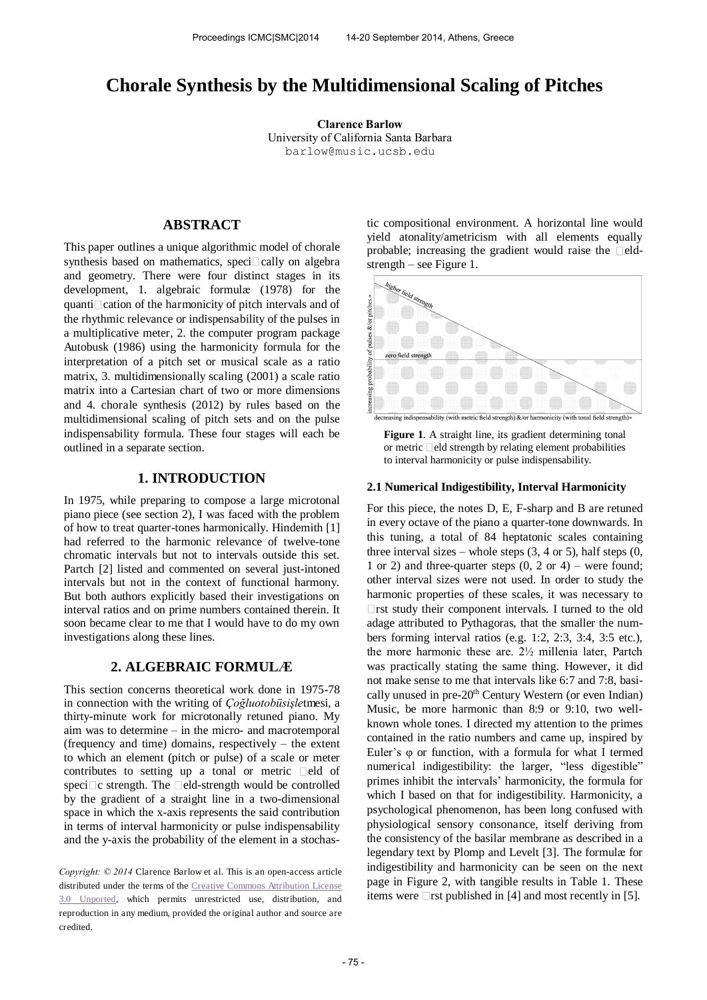# **Chorale Synthesis by the Multidimensional Scaling of Pitches**

**Clarence Barlow**  University of California Santa Barbara [barlow@music.ucsb.e](mailto:barlow@music.ucsb.)du

# **ABSTRACT**

This paper outlines a unique algorithmic model of chorale synthesis based on mathematics, speci $\Box$ cally on algebra and geometry. There were four distinct stages in its development, 1. algebraic formulæ (1978) for the quanti $\Box$ cation of the harmonicity of pitch intervals and of the rhythmic relevance or indispensability of the pulses in a multiplicative meter, 2. the computer program package Autobusk (1986) using the harmonicity formula for the interpretation of a pitch set or musical scale as a ratio matrix, 3. multidimensionally scaling (2001) a scale ratio matrix into a Cartesian chart of two or more dimensions and 4. chorale synthesis (2012) by rules based on the multidimensional scaling of pitch sets and on the pulse indispensability formula. These four stages will each be outlined in a separate section.

# **1. INTRODUCTION**

In 1975, while preparing to compose a large microtonal piano piece (see section 2), I was faced with the problem of how to treat quarter-tones harmonically. Hindemith [1] had referred to the harmonic relevance of twelve-tone chromatic intervals but not to intervals outside this set. Partch [2] listed and commented on several just-intoned intervals but not in the context of functional harmony. But both authors explicitly based their investigations on interval ratios and on prime numbers contained therein. It soon became clear to me that I would have to do my own investigations along these lines.

# **2. ALGEBRAIC FORMULÆ**

This section concerns theoretical work done in 1975-78 in connection with the writing of *Çoğluotobüsişle*tmesi, a thirty-minute work for microtonally retuned piano. My aim was to determine – in the micro- and macrotemporal (frequency and time) domains, respectively – the extent to which an element (pitch or pulse) of a scale or meter contributes to setting up a tonal or metric  $\Box$ eld of speci $\Box$ c strength. The  $\Box$ eld-strength would be controlled by the gradient of a straight line in a two-dimensional space in which the x-axis represents the said contribution in terms of interval harmonicity or pulse indispensability and the y-axis the probability of the element in a stochas-

*Copyright: © 2014* Clarence Barlow et al. This is an open-access article distributed under the terms of the [Creative Commons Attribution License](http://creativecommons.org/licenses/by/3.0/)  [3.0 Unported,](http://creativecommons.org/licenses/by/3.0/) which permits unrestricted use, distribution, and reproduction in any medium, provided the original author and source are credited.

tic compositional environment. A horizontal line would yield atonality/ametricism with all elements equally probable; increasing the gradient would raise the  $\Box$ eldstrength – see Figure 1.





#### **2.1 Numerical Indigestibility, Interval Harmonicity**

For this piece, the notes D, E, F-sharp and B are retuned in every octave of the piano a quarter-tone downwards. In this tuning, a total of 84 heptatonic scales containing three interval sizes – whole steps  $(3, 4 \text{ or } 5)$ , half steps  $(0, 6)$ 1 or 2) and three-quarter steps  $(0, 2 \text{ or } 4)$  – were found; other interval sizes were not used. In order to study the harmonic properties of these scales, it was necessary to □rst study their component intervals. I turned to the old adage attributed to Pythagoras, that the smaller the numbers forming interval ratios (e.g. 1:2, 2:3, 3:4, 3:5 etc.), the more harmonic these are. 2½ millenia later, Partch was practically stating the same thing. However, it did not make sense to me that intervals like 6:7 and 7:8, basically unused in pre-20<sup>th</sup> Century Western (or even Indian) Music, be more harmonic than 8:9 or 9:10, two wellknown whole tones. I directed my attention to the primes contained in the ratio numbers and came up, inspired by Euler's φ or function, with a formula for what I termed numerical indigestibility: the larger, "less digestible" primes inhibit the intervals' harmonicity, the formula for which I based on that for indigestibility. Harmonicity, a psychological phenomenon, has been long confused with physiological sensory consonance, itself deriving from the consistency of the basilar membrane as described in a legendary text by Plomp and Levelt [3]. The formulæ for indigestibility and harmonicity can be seen on the next page in Figure 2, with tangible results in Table 1. These items were  $\Box$ rst published in [4] and most recently in [5].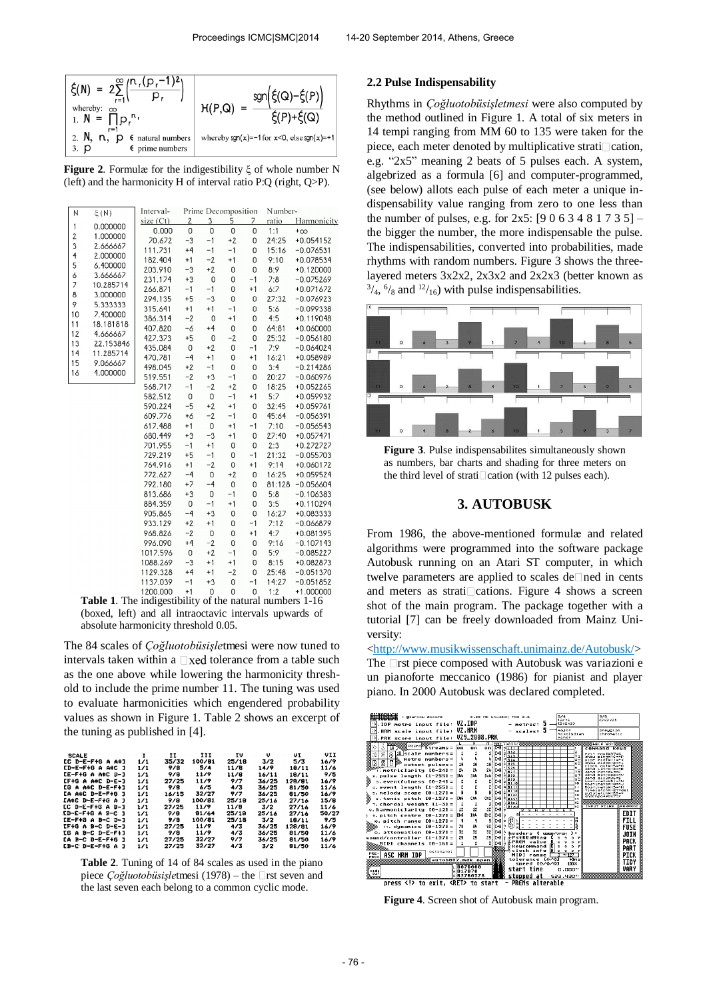

**Figure 2**. Formulæ for the indigestibility ξ of whole number N (left) and the harmonicity H of interval ratio P:Q (right, Q>P).

| N                   | $\xi(N)$              | Interval- | Prime Decomposition |             |                |      | Number- |             |  |  |
|---------------------|-----------------------|-----------|---------------------|-------------|----------------|------|---------|-------------|--|--|
|                     | 0.000000              | size (Ct) | $\overline{2}$      | 3           | 5              | 7    | ratio   | Harmonicity |  |  |
| 1<br>$\overline{2}$ |                       | 0.000     | 0                   | 0           | $\overline{0}$ | 0    | 1:1     | $+\infty$   |  |  |
| 3                   | 1.000000              | 70.672    | $-3$                | $-1$        | $+2$           | 0    | 24:25   | $+0.054152$ |  |  |
| 4                   | 2.666667              | 111.731   | $+4$                | $-1$        | $-1$           | 0    | 15:16   | $-0.076531$ |  |  |
| 5                   | 2.000000<br>6.400000  | 182.404   | $+1$                | $-2$        | $+1$           | 0    | 9:10    | +0.078534   |  |  |
| 6                   |                       | 203.910   | $-3$                | $+2$        | 0              | 0    | 8:9     | $+0.120000$ |  |  |
| 7                   | 3.666667              | 231.174   | $+3$                | 0           | 0              | $-1$ | 7:8     | $-0.075269$ |  |  |
| 8                   | 10.285714<br>3.000000 | 266.871   | $-1$                | $-1$        | 0              | $+1$ | 6:7     | +0.071672   |  |  |
| 9                   | 5.333333              | 294.135   | $+5$                | $-3$        | 0              | 0    | 27:32   | $-0.076923$ |  |  |
| 10                  | 7.400000              | 315.641   | $+1$                | $+1$        | $-1$           | 0    | 5:6     | $-0.099338$ |  |  |
| 11                  |                       | 386.314   | $-2$                | $\mathsf 0$ | $+1$           | 0    | 4:5     | +0.119048   |  |  |
| 12                  | 18.181818<br>4.666667 | 407.820   | $-6$                | $+4$        | 0              | 0    | 64:81   | +0.060000   |  |  |
| 13                  | 22.153846             | 427.373   | $+5$                | $\mathsf 0$ | $-2$           | 0    | 25:32   | $-0.056180$ |  |  |
| 14                  | 11.285714             | 435.084   | $\mathsf 0$         | $+2$        | 0              | $-1$ | 7:9     | $-0.064024$ |  |  |
| 15                  | 9.066667              | 470.781   | $-4$                | $+1$        | 0              | $+1$ | 16:21   | +0.058989   |  |  |
|                     |                       | 498.045   | $+2$                | $-1$        | 0              | 0    | 3:4     | $-0.214286$ |  |  |
| 16                  | 4.000000              | 519.551   | $-2$                | $+3$        | $-1$           | 0    | 20:27   | $-0.060976$ |  |  |
|                     |                       | 568.717   | $-1$                | $-2$        | $+2$           | 0    | 18:25   | +0.052265   |  |  |
|                     |                       | 582.512   | 0                   | 0           | $-1$           | $+1$ | 5:7     | +0.059932   |  |  |
|                     |                       | 590.224   | $-5$                | $+2$        | $+1$           | 0    | 32:45   | +0.059761   |  |  |
|                     |                       | 609.776   | $+6$                | $-2$        | $-1$           | 0    | 45:64   | $-0.056391$ |  |  |
|                     |                       | 617.488   | $+1$                | 0           | $+1$           | $-1$ | 7:10    | $-0.056543$ |  |  |
|                     |                       | 680.449   | $+3$                | $-3$        | $+1$           | 0    | 27:40   | +0.057471   |  |  |
|                     |                       | 701.955   | $-1$                | $+1$        | 0              | 0    | 2:3     | +0.272727   |  |  |
|                     |                       | 729.219   | $+5$                | $-1$        | 0              | $-1$ | 21:32   | $-0.055703$ |  |  |
|                     |                       | 764.916   | $+1$                | $-2$        | 0              | $+1$ | 9:14    | +0.060172   |  |  |
|                     |                       | 772.627   | $-4$                | 0           | $+2$           | 0    | 16:25   | +0.059524   |  |  |
|                     |                       | 792.180   | $+7$                | $-4$        | 0              | 0    | 81:128  | $-0.056604$ |  |  |
|                     |                       | 813.686   | $+3$                | 0           | $-1$           | 0    | 5:8     | $-0.106383$ |  |  |
|                     |                       | 884.359   | 0                   | $-1$        | $+1$           | 0    | 3:5     | +0.110294   |  |  |
|                     |                       | 905.865   | $-4$                | $+3$        | 0              | 0    | 16:27   | +0.083333   |  |  |
|                     |                       | 933.129   | $+2$                | $+1$        | 0              | $-1$ | 7:12    | $-0.066879$ |  |  |
|                     |                       | 968.826   | $-2$                | 0           | 0              | $+1$ | 4:7     | +0.081395   |  |  |
|                     |                       | 996.090   | $+4$                | $-2$        | 0              | 0    | 9:16    | $-0.107143$ |  |  |
|                     |                       | 1017.596  | $\mathsf 0$         | $+2$        | $-1$           | 0    | 5:9     | $-0.085227$ |  |  |
|                     |                       | 1088.269  | $-3$                | $+1$        | $+1$           | 0    | 8:15    | +0.082873   |  |  |
|                     |                       | 1129.328  | $+4$                | $+1$        | $-2$           | 0    | 25:48   | $-0.051370$ |  |  |
|                     |                       | 1137.039  | $-1$                | $+3$        | 0              | $-1$ | 14:27   | $-0.051852$ |  |  |
|                     |                       | 1200.000  | $+1$                | 0           | 0              | 0    | 1:2     | $+1.000000$ |  |  |
|                     |                       |           |                     |             |                |      |         |             |  |  |

**Table 1**. The indigestibility of the natural numbers 1-16 (boxed, left) and all intraoctavic intervals upwards of absolute harmonicity threshold 0.05.

The 84 scales of *Çoğluotobüsişle*tmesi were now tuned to intervals taken within a  $\Box$ xed tolerance from a table such as the one above while lowering the harmonicity threshold to include the prime number 11. The tuning was used to evaluate harmonicities which engendered probability values as shown in Figure 1. Table 2 shows an excerpt of the tuning as published in [4].

| <b>SCALE</b>             | 1   | 11    | HI     | τv    | v     | UI.    | VII  |
|--------------------------|-----|-------|--------|-------|-------|--------|------|
| EC D-E-F+G A A#J         | 1/1 | 35/32 | 100/81 | 25/18 | 3/2   | 5/3    | 16/9 |
| <b>CD-E-F+G A A#C J</b>  | 1/1 | 978   | 5/4    | 11/8  | 14/9  | 18/11  | 11/6 |
| $LE-F+G A ATC D-J$       | 1/1 | 9/B   | 11/9   | 11/8  | 16/11 | 18/11  | 9/5  |
| $EF+G A 4+C D-E-1$       | 1/1 | 27/25 | 11/9   | 9/7   | 36/25 | 128/81 | 16/9 |
| EG A A#C D-E-F+J         | 1/1 | 9/8   | 675    | 4/3   | 36/25 | 81/50  | 11/6 |
| <b>EA A#C D-E-F+G J</b>  | 1/1 | 16/15 | 32/27  | 917   | 36/25 | 81/50  | 16/9 |
| $LAE$ $D-E-F+B$ $A$ $J$  | 1/1 | 9/8   | 100/81 | 25/18 | 25/16 | 27/16  | 15/8 |
| <b>LC D-E-F+G A B-J</b>  | 1/1 | 27/25 | 11/9   | 11/8  | 3/2   | 27/16  | 11/6 |
| $LD-E-F+G A B-C 1$       | 1/1 | 9/8   | 81/64  | 25/18 | 25/16 | 27/16  | 50/2 |
| CE-F+G A B-C D-J         | 1/1 | 9/8   | 100/81 | 25/18 | 3/2   | 18/11  | 9/5  |
| <b>IF+G A B-C D-E-J</b>  | 1/1 | 27/25 | 11/9   | 4/3   | 36/25 | 128/81 | 16/9 |
| $LO$ A B- $C$ D- $E-F+1$ | 1/1 | 978.  | 11/9   | 4/3   | 36/25 | 81/50  | 11/6 |
| <b>CA B-C D-E-F+G J</b>  | 1/1 | 27/25 | 32/27  | 917   | 36/25 | 81/50  | 16/9 |
| [B-C D-E-F+G A ]         | 1/1 | 27/25 | 32/27  | 4/3   | 3/2   | 81/50  | 11/6 |
|                          |     |       |        |       |       |        |      |

**Table 2**. Tuning of 14 of 84 scales as used in the piano piece *Çoğluotobüsişle*tmesi (1978) – the □rst seven and the last seven each belong to a common cyclic mode.

#### **2.2 Pulse Indispensability**

Rhythms in *Çoğluotobüsişletmesi* were also computed by the method outlined in Figure 1. A total of six meters in 14 tempi ranging from MM 60 to 135 were taken for the piece, each meter denoted by multiplicative strati $\Box$ cation, e.g. "2x5" meaning 2 beats of 5 pulses each. A system, algebrized as a formula [6] and computer-programmed, (see below) allots each pulse of each meter a unique indispensability value ranging from zero to one less than the number of pulses, e.g. for  $2x5$ :  $[9063481735]$  – the bigger the number, the more indispensable the pulse. The indispensabilities, converted into probabilities, made rhythms with random numbers. Figure 3 shows the threelayered meters 3x2x2, 2x3x2 and 2x2x3 (better known as  $\frac{3}{4}$ ,  $\frac{6}{8}$  and  $\frac{12}{16}$ ) with pulse indispensabilities.



**Figure 3**. Pulse indispensabilites simultaneously shown as numbers, bar charts and shading for three meters on the third level of strati $\Box$ cation (with 12 pulses each).

### **3. AUTOBUSK**

From 1986, the above-mentioned formulæ and related algorithms were programmed into the software package Autobusk running on an Atari ST computer, in which twelve parameters are applied to scales de $\Box$  ned in cents and meters as strati $\Box$ cations. Figure 4 shows a screen shot of the main program. The package together with a tutorial [7] can be freely downloaded from Mainz University:

[<http://www.musikwissenschaft.unimainz.de/Autobusk/>](http://www.musikwissenschaft.unimainz.de/Autobusk/) The  $\Box$ rst piece composed with Autobusk was variazioni e un pianoforte meccanico (1986) for pianist and player piano. In 2000 Autobusk was declared completed.



**Figure 4**. Screen shot of Autobusk main program.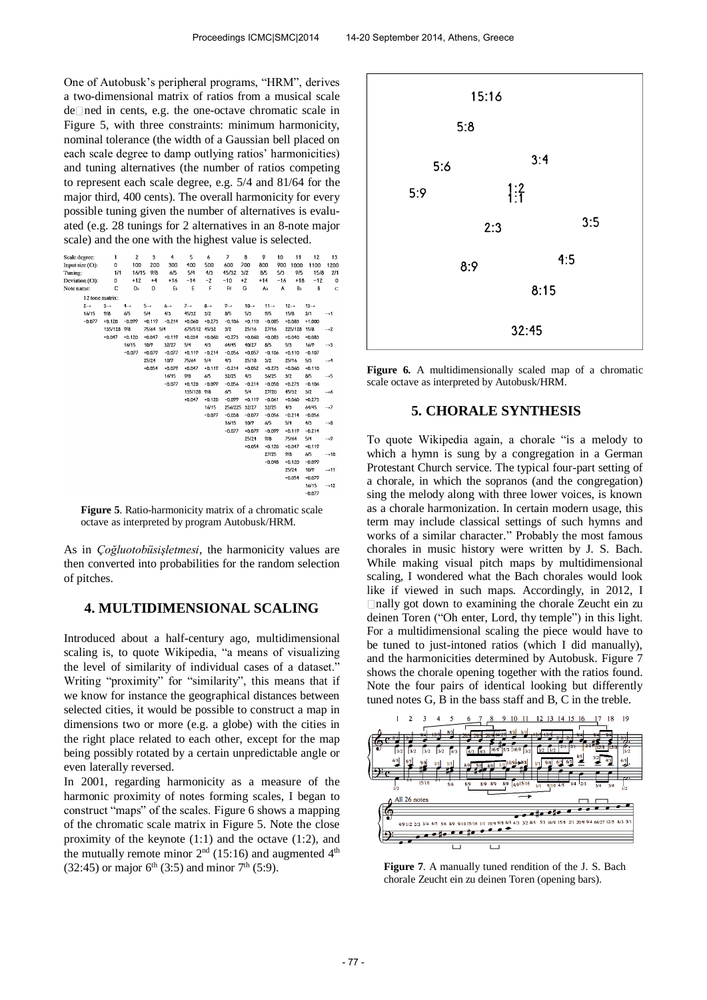One of Autobusk's peripheral programs, "HRM", derives a two-dimensional matrix of ratios from a musical scale de Ined in cents, e.g. the one-octave chromatic scale in Figure 5, with three constraints: minimum harmonicity, nominal tolerance (the width of a Gaussian bell placed on each scale degree to damp outlying ratios' harmonicities) and tuning alternatives (the number of ratios competing to represent each scale degree, e.g. 5/4 and 81/64 for the major third, 400 cents). The overall harmonicity for every possible tuning given the number of alternatives is evaluated (e.g. 28 tunings for 2 alternatives in an 8-note major scale) and the one with the highest value is selected.

| Scale degree:    | 1               | 2               | 3               | 4               | 5               | 6               | $\overline{\phantom{a}}$ | 8                | 9                | 10    | 11               | 12               | 13               |
|------------------|-----------------|-----------------|-----------------|-----------------|-----------------|-----------------|--------------------------|------------------|------------------|-------|------------------|------------------|------------------|
| Input size (Ct): | 0               | 100             | 200             | 300             | 400             | 500             | 600                      | 700              | 800              | 900   | 1000             | 1100             | 1200             |
| Tuning:          | 1/1             | 16/15           | 9/8             | 6/5             | 5/4             | 4/3             | 45/32                    | 3/2              | 8/5              | 5/3   | 9/5              | 15/8             | 2/1              |
| Deviation (Ct):  | 0               | $+12$           | $+4$            | $+16$           | $-14$           | $-2$            | $-10$                    | $+2$             | $+14$            | $-16$ | $+18$            | $-12$            | $\circ$          |
| Note name:       | Ċ               | Db              | D               | E,              | E               | F               | F#                       | G                | A,               | A     | Вb               | B                | Ċ                |
| 12 tone matrix:  |                 |                 |                 |                 |                 |                 |                          |                  |                  |       |                  |                  |                  |
| $2 \rightarrow$  | $3 \rightarrow$ | $4 \rightarrow$ | $5 \rightarrow$ | $6 \rightarrow$ | $7 \rightarrow$ | $8 \rightarrow$ | $9 \rightarrow$          | $10 \rightarrow$ | $11 \rightarrow$ |       | $12 \rightarrow$ | $13 \rightarrow$ |                  |
| 16/15            | 9/8             | 6/5             | 5/4             | 4/3             | 45/32           | 3/2             | 8/5                      | 5/3              | 9/5              |       | 15/8             | 2/1              | $\rightarrow$ 1  |
| $-0.077$         | $+0.120$        | $-0.099$        | $+0.119$        | $-0.214$        | $+0.060$        | $+0.273$        | $-0.106$                 | $+0.110$         | $-0.085$         |       | $+0.083$         | $+1,000$         |                  |
|                  | 135/128         | 9/8             | 75/64 5/4       |                 | 675/512 45/32   |                 | 3/2                      | 25/16            | 27/16            |       | 225/128          | 15/8             | $\rightarrow$ 2  |
|                  | $+0.047$        | $+0.120$        | $+0.047$        | $+0.119$        | $+0.034$        | $+0.060$        | $+0.273$                 | $+0.060$         | $+0.083$         |       | $+0.040$         | $+0.083$         |                  |
|                  |                 | 16/15           | 10/9            | 32/27           | 5/4             | 4/3             | 64/45                    | 40/27            | 8/5              |       | 5/3              | 16/9             | $\rightarrow$ 3  |
|                  |                 | $-0.077$        | $+0.079$        | $-0.077$        | $+0.119$        | $-0.214$        | $-0.056$                 | $+0.057$         | $-0.106$         |       | $+0.110$         | $-0.107$         |                  |
|                  |                 |                 | 25/24           | 10/9            | 75/64           | 5/4             | 4/3                      | 25/18            | 3/2              |       | 25/16            | 5/3              | $\rightarrow$ 4  |
|                  |                 |                 | $+0.054$        | $+0.079$        | $+0.047$        | $+0.119$        | $-0.214$                 | $+0.052$         | $+0.273$         |       | $+0.060$         | $+0.110$         |                  |
|                  |                 |                 |                 | 16/15           | 9/8             | 6/5             | 32/25                    | 4/3              | 36/25            |       | 3/2              | 8/5              | $\rightarrow$ 5  |
|                  |                 |                 |                 | $-0.077$        | $+0.120$        | $-0.099$        | $-0.056$                 | $-0.214$         | $-0.050$         |       | $+0.273$         | $-0.106$         |                  |
|                  |                 |                 |                 |                 | 135/128 9/8     |                 | 6/5                      | 5/4              | 27/20            |       | 45/32            | 3/2              | $\rightarrow 6$  |
|                  |                 |                 |                 |                 | $+0.047$        | $+0.120$        | $-0.099$                 | $+0.119$         | $-0.061$         |       | $+0.060$         | $+0.273$         |                  |
|                  |                 |                 |                 |                 |                 | 16/15           |                          | 256/225 32/27    | 32/25            |       | 4/3              | 64/45            | $\rightarrow$ 7  |
|                  |                 |                 |                 |                 |                 | $-0.077$        | $-0.038$                 | $-0.077$         | $-0.056$         |       | $-0.214$         | $-0.056$         |                  |
|                  |                 |                 |                 |                 |                 |                 | 16/15                    | 10/9             | 6/5              |       | 5/4              | 4/3              | $\rightarrow$ 8  |
|                  |                 |                 |                 |                 |                 |                 | $-0.077$                 | $+0.079$         | $-0.099$         |       | $+0.119$         | $-0.214$         |                  |
|                  |                 |                 |                 |                 |                 |                 |                          | 25/24            | 9/8              |       | 75/64            | 5/4              | $\rightarrow$ 9  |
|                  |                 |                 |                 |                 |                 |                 |                          | $+0.054$         | $+0.120$         |       | $+0.047$         | $+0.119$         |                  |
|                  |                 |                 |                 |                 |                 |                 |                          |                  | 27/25            |       | 9/8              | 6/5              | $\rightarrow$ 10 |
|                  |                 |                 |                 |                 |                 |                 |                          |                  | $-0.048$         |       | $+0.120$         | $-0.099$         |                  |
|                  |                 |                 |                 |                 |                 |                 |                          |                  |                  |       | 25/24            | 10/9             | $\rightarrow$ 11 |
|                  |                 |                 |                 |                 |                 |                 |                          |                  |                  |       | $+0.054$         | $+0.079$         |                  |
|                  |                 |                 |                 |                 |                 |                 |                          |                  |                  |       |                  | 16/15            | $\rightarrow$ 12 |
|                  |                 |                 |                 |                 |                 |                 |                          |                  |                  |       |                  | $-0.077$         |                  |

**Figure 5**. Ratio-harmonicity matrix of a chromatic scale octave as interpreted by program Autobusk/HRM.

As in *Çoğluotobüsişletmesi*, the harmonicity values are then converted into probabilities for the random selection of pitches.

# **4. MULTIDIMENSIONAL SCALING**

Introduced about a half-century ago, multidimensional scaling is, to quote Wikipedia, "a means of visualizing the level of similarity of individual cases of a dataset." Writing "proximity" for "similarity", this means that if we know for instance the geographical distances between selected cities, it would be possible to construct a map in dimensions two or more (e.g. a globe) with the cities in the right place related to each other, except for the map being possibly rotated by a certain unpredictable angle or even laterally reversed.

In 2001, regarding harmonicity as a measure of the harmonic proximity of notes forming scales, I began to construct "maps" of the scales. Figure 6 shows a mapping of the chromatic scale matrix in Figure 5. Note the close proximity of the keynote (1:1) and the octave (1:2), and the mutually remote minor  $2<sup>nd</sup>$  (15:16) and augmented  $4<sup>th</sup>$ (32:45) or major  $6^{th}$  (3:5) and minor  $7^{th}$  (5:9).



Figure 6. A multidimensionally scaled map of a chromatic scale octave as interpreted by Autobusk/HRM.

## **5. CHORALE SYNTHESIS**

To quote Wikipedia again, a chorale "is a [melody](http://en.wikipedia.org/wiki/Melody) to which a [hymn](http://en.wikipedia.org/wiki/Hymn) is sung by a [congregation](http://en.wikipedia.org/wiki/Local_church) in a [German](http://en.wikipedia.org/wiki/German_Protestant_Church)  [Protestant Church](http://en.wikipedia.org/wiki/German_Protestant_Church) service. The typical [four-part setting](http://en.wikipedia.org/wiki/Four-part_harmony) of a chorale, in which the sopranos (and the congregation) sing the melody along with three lower voices, is known as a chorale harmonization. In certain modern usage, this term may include classical settings of such hymns and works of a similar character." Probably the most famous chorales in music history were written by J. S. Bach. While making visual pitch maps by multidimensional scaling, I wondered what the Bach chorales would look like if viewed in such maps. Accordingly, in 2012, I nally got down to examining the chorale Zeucht ein zu deinen Toren ("Oh enter, Lord, thy temple") in this light. For a multidimensional scaling the piece would have to be tuned to just-intoned ratios (which I did manually), and the harmonicities determined by Autobusk. Figure 7 shows the chorale opening together with the ratios found. Note the four pairs of identical looking but differently tuned notes G, B in the bass staff and B, C in the treble.



**Figure 7**. A manually tuned rendition of the J. S. Bach chorale Zeucht ein zu deinen Toren (opening bars).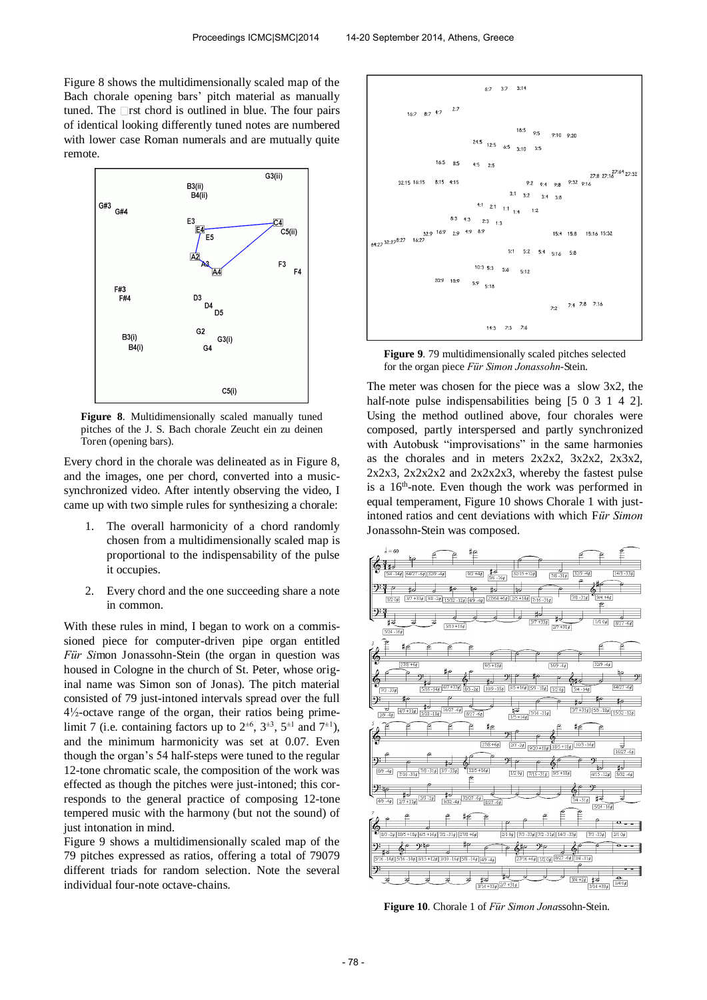Figure 8 shows the multidimensionally scaled map of the Bach chorale opening bars' pitch material as manually tuned. The  $\Box$ rst chord is outlined in blue. The four pairs of identical looking differently tuned notes are numbered with lower case Roman numerals and are mutually quite remote.



**Figure 8**. Multidimensionally scaled manually tuned pitches of the J. S. Bach chorale Zeucht ein zu deinen Toren (opening bars).

Every chord in the chorale was delineated as in Figure 8, and the images, one per chord, converted into a musicsynchronized video. After intently observing the video, I came up with two simple rules for synthesizing a chorale:

- 1. The overall harmonicity of a chord randomly chosen from a multidimensionally scaled map is proportional to the indispensability of the pulse it occupies.
- 2. Every chord and the one succeeding share a note in common.

With these rules in mind, I began to work on a commissioned piece for computer-driven pipe organ entitled *Für Si*mon Jonassohn-Stein (the organ in question was housed in Cologne in the church of St. Peter, whose original name was Simon son of Jonas). The pitch material consisted of 79 just-intoned intervals spread over the full 4½-octave range of the organ, their ratios being primelimit 7 (i.e. containing factors up to  $2^{\pm 6}$ ,  $3^{\pm 3}$ ,  $5^{\pm 1}$  and  $7^{\pm 1}$ ), and the minimum harmonicity was set at 0.07. Even though the organ's 54 half-steps were tuned to the regular 12-tone chromatic scale, the composition of the work was effected as though the pitches were just-intoned; this corresponds to the general practice of composing 12-tone tempered music with the harmony (but not the sound) of just intonation in mind.

Figure 9 shows a multidimensionally scaled map of the 79 pitches expressed as ratios, offering a total of 79079 different triads for random selection. Note the several individual four-note octave-chains.



**Figure 9**. 79 multidimensionally scaled pitches selected for the organ piece *Für Simon Jonassohn*-Stein.

The meter was chosen for the piece was a slow 3x2, the half-note pulse indispensabilities being [5 0 3 1 4 2]. Using the method outlined above, four chorales were composed, partly interspersed and partly synchronized with Autobusk "improvisations" in the same harmonies as the chorales and in meters  $2x2x2$ ,  $3x2x2$ ,  $2x3x2$ ,  $2x2x3$ ,  $2x2x2x2$  and  $2x2x2x3$ , whereby the fastest pulse is a 16<sup>th</sup>-note. Even though the work was performed in equal temperament, Figure 10 shows Chorale 1 with justintoned ratios and cent deviations with which F*ür Simon*  Jonassohn-Stein was composed.



**Figure 10**. Chorale 1 of *Für Simon Jona*ssohn-Stein.